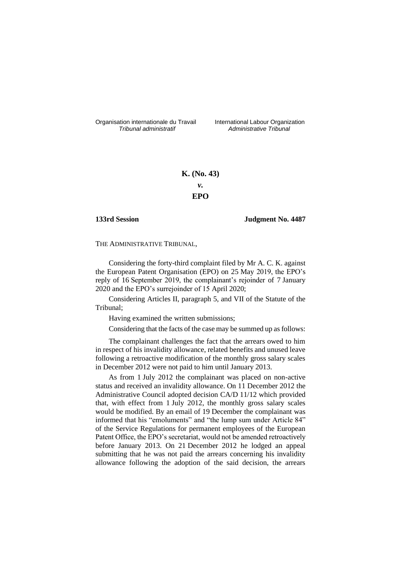Organisation internationale du Travail International Labour Organization<br>*Tribunal administratif Administrative Tribunal* 

*Tribunal administratif Administrative Tribunal*

# **K. (No. 43)** *v.* **EPO**

# **133rd Session Judgment No. 4487**

# THE ADMINISTRATIVE TRIBUNAL,

Considering the forty-third complaint filed by Mr A. C. K. against the European Patent Organisation (EPO) on 25 May 2019, the EPO's reply of 16 September 2019, the complainant's rejoinder of 7 January 2020 and the EPO's surrejoinder of 15 April 2020;

Considering Articles II, paragraph 5, and VII of the Statute of the Tribunal;

Having examined the written submissions;

Considering that the facts of the case may be summed up as follows:

The complainant challenges the fact that the arrears owed to him in respect of his invalidity allowance, related benefits and unused leave following a retroactive modification of the monthly gross salary scales in December 2012 were not paid to him until January 2013.

As from 1 July 2012 the complainant was placed on non-active status and received an invalidity allowance. On 11 December 2012 the Administrative Council adopted decision CA/D 11/12 which provided that, with effect from 1 July 2012, the monthly gross salary scales would be modified. By an email of 19 December the complainant was informed that his "emoluments" and "the lump sum under Article 84" of the Service Regulations for permanent employees of the European Patent Office, the EPO's secretariat, would not be amended retroactively before January 2013. On 21 December 2012 he lodged an appeal submitting that he was not paid the arrears concerning his invalidity allowance following the adoption of the said decision, the arrears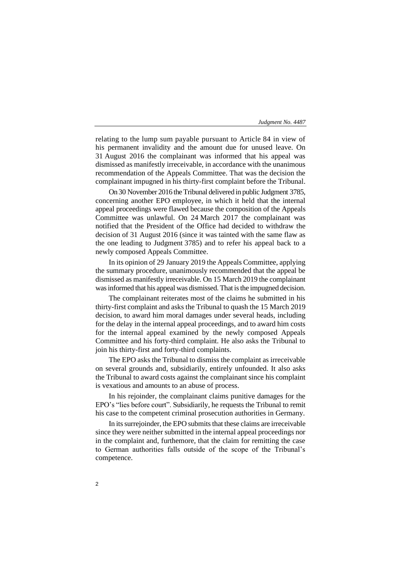relating to the lump sum payable pursuant to Article 84 in view of his permanent invalidity and the amount due for unused leave. On 31 August 2016 the complainant was informed that his appeal was dismissed as manifestly irreceivable, in accordance with the unanimous recommendation of the Appeals Committee. That was the decision the complainant impugned in his thirty-first complaint before the Tribunal.

On 30 November 2016 the Tribunal delivered in public Judgment 3785, concerning another EPO employee, in which it held that the internal appeal proceedings were flawed because the composition of the Appeals Committee was unlawful. On 24 March 2017 the complainant was notified that the President of the Office had decided to withdraw the decision of 31 August 2016 (since it was tainted with the same flaw as the one leading to Judgment 3785) and to refer his appeal back to a newly composed Appeals Committee.

In its opinion of 29 January 2019 the Appeals Committee, applying the summary procedure, unanimously recommended that the appeal be dismissed as manifestly irreceivable. On 15 March 2019 the complainant was informed that his appeal was dismissed. That is the impugned decision.

The complainant reiterates most of the claims he submitted in his thirty-first complaint and asks the Tribunal to quash the 15 March 2019 decision, to award him moral damages under several heads, including for the delay in the internal appeal proceedings, and to award him costs for the internal appeal examined by the newly composed Appeals Committee and his forty-third complaint. He also asks the Tribunal to join his thirty-first and forty-third complaints.

The EPO asks the Tribunal to dismiss the complaint as irreceivable on several grounds and, subsidiarily, entirely unfounded. It also asks the Tribunal to award costs against the complainant since his complaint is vexatious and amounts to an abuse of process.

In his rejoinder, the complainant claims punitive damages for the EPO's "lies before court". Subsidiarily, he requests the Tribunal to remit his case to the competent criminal prosecution authorities in Germany.

In its surrejoinder, the EPO submits that these claims are irreceivable since they were neither submitted in the internal appeal proceedings nor in the complaint and, furthemore, that the claim for remitting the case to German authorities falls outside of the scope of the Tribunal's competence.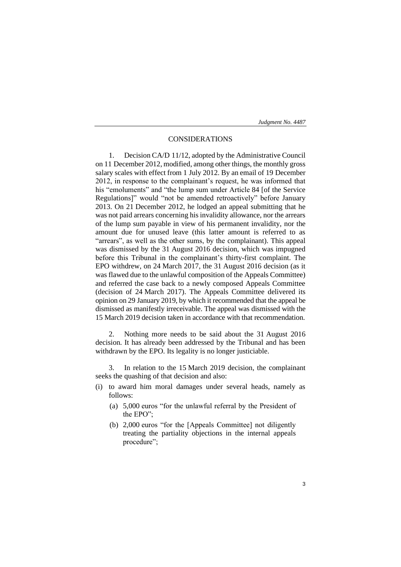# CONSIDERATIONS

1. Decision CA/D 11/12, adopted by the Administrative Council on 11 December 2012, modified, among other things, the monthly gross salary scales with effect from 1 July 2012. By an email of 19 December 2012, in response to the complainant's request, he was informed that his "emoluments" and "the lump sum under Article 84 [of the Service Regulations]" would "not be amended retroactively" before January 2013. On 21 December 2012, he lodged an appeal submitting that he was not paid arrears concerning his invalidity allowance, nor the arrears of the lump sum payable in view of his permanent invalidity, nor the amount due for unused leave (this latter amount is referred to as "arrears", as well as the other sums, by the complainant). This appeal was dismissed by the 31 August 2016 decision, which was impugned before this Tribunal in the complainant's thirty-first complaint. The EPO withdrew, on 24 March 2017, the 31 August 2016 decision (as it was flawed due to the unlawful composition of the Appeals Committee) and referred the case back to a newly composed Appeals Committee (decision of 24 March 2017). The Appeals Committee delivered its opinion on 29 January 2019, by which it recommended that the appeal be dismissed as manifestly irreceivable. The appeal was dismissed with the 15 March 2019 decision taken in accordance with that recommendation.

2. Nothing more needs to be said about the 31 August 2016 decision. It has already been addressed by the Tribunal and has been withdrawn by the EPO. Its legality is no longer justiciable.

3. In relation to the 15 March 2019 decision, the complainant seeks the quashing of that decision and also:

- (i) to award him moral damages under several heads, namely as follows:
	- (a) 5,000 euros "for the unlawful referral by the President of the EPO";
	- (b) 2,000 euros "for the [Appeals Committee] not diligently treating the partiality objections in the internal appeals procedure";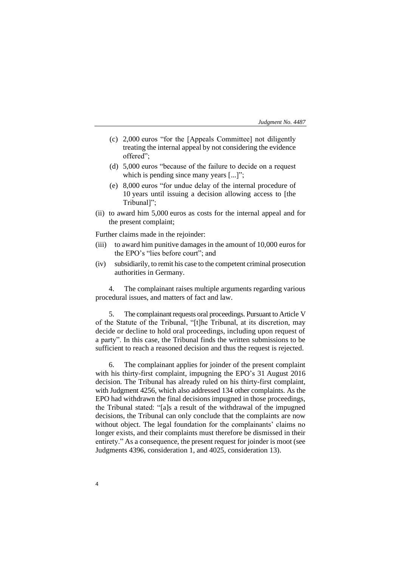- (c) 2,000 euros "for the [Appeals Committee] not diligently treating the internal appeal by not considering the evidence offered";
- (d) 5,000 euros "because of the failure to decide on a request which is pending since many years [...]";
- (e) 8,000 euros "for undue delay of the internal procedure of 10 years until issuing a decision allowing access to [the Tribunal]";
- (ii) to award him 5,000 euros as costs for the internal appeal and for the present complaint;

Further claims made in the rejoinder:

- (iii) to award him punitive damages in the amount of 10,000 euros for the EPO's "lies before court"; and
- (iv) subsidiarily, to remit his case to the competent criminal prosecution authorities in Germany.

4. The complainant raises multiple arguments regarding various procedural issues, and matters of fact and law.

5. The complainant requests oral proceedings. Pursuant to Article V of the Statute of the Tribunal, "[t]he Tribunal, at its discretion, may decide or decline to hold oral proceedings, including upon request of a party". In this case, the Tribunal finds the written submissions to be sufficient to reach a reasoned decision and thus the request is rejected.

6. The complainant applies for joinder of the present complaint with his thirty-first complaint, impugning the EPO's 31 August 2016 decision. The Tribunal has already ruled on his thirty-first complaint, with Judgment 4256, which also addressed 134 other complaints. As the EPO had withdrawn the final decisions impugned in those proceedings, the Tribunal stated: "[a]s a result of the withdrawal of the impugned decisions, the Tribunal can only conclude that the complaints are now without object. The legal foundation for the complainants' claims no longer exists, and their complaints must therefore be dismissed in their entirety." As a consequence, the present request for joinder is moot (see Judgments 4396, consideration 1, and 4025, consideration 13).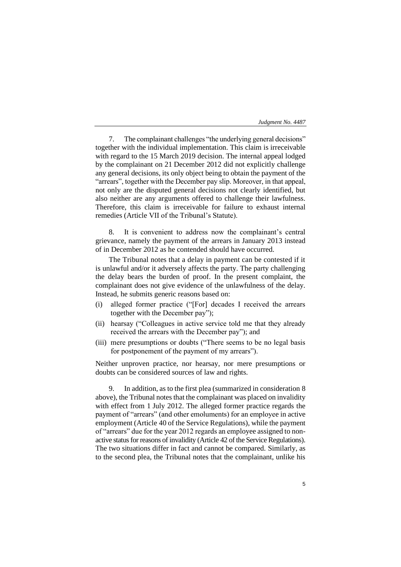| Judgment No. 4487 |
|-------------------|
|-------------------|

7. The complainant challenges "the underlying general decisions" together with the individual implementation. This claim is irreceivable with regard to the 15 March 2019 decision. The internal appeal lodged by the complainant on 21 December 2012 did not explicitly challenge any general decisions, its only object being to obtain the payment of the "arrears", together with the December pay slip. Moreover, in that appeal, not only are the disputed general decisions not clearly identified, but also neither are any arguments offered to challenge their lawfulness. Therefore, this claim is irreceivable for failure to exhaust internal remedies (Article VII of the Tribunal's Statute).

8. It is convenient to address now the complainant's central grievance, namely the payment of the arrears in January 2013 instead of in December 2012 as he contended should have occurred.

The Tribunal notes that a delay in payment can be contested if it is unlawful and/or it adversely affects the party. The party challenging the delay bears the burden of proof. In the present complaint, the complainant does not give evidence of the unlawfulness of the delay. Instead, he submits generic reasons based on:

- (i) alleged former practice ("[For] decades I received the arrears together with the December pay");
- (ii) hearsay ("Colleagues in active service told me that they already received the arrears with the December pay"); and
- (iii) mere presumptions or doubts ("There seems to be no legal basis for postponement of the payment of my arrears").

Neither unproven practice, nor hearsay, nor mere presumptions or doubts can be considered sources of law and rights.

In addition, as to the first plea (summarized in consideration 8) above), the Tribunal notes that the complainant was placed on invalidity with effect from 1 July 2012. The alleged former practice regards the payment of "arrears" (and other emoluments) for an employee in active employment (Article 40 of the Service Regulations), while the payment of "arrears" due for the year 2012 regards an employee assigned to nonactive status for reasons of invalidity (Article 42 of the Service Regulations). The two situations differ in fact and cannot be compared. Similarly, as to the second plea, the Tribunal notes that the complainant, unlike his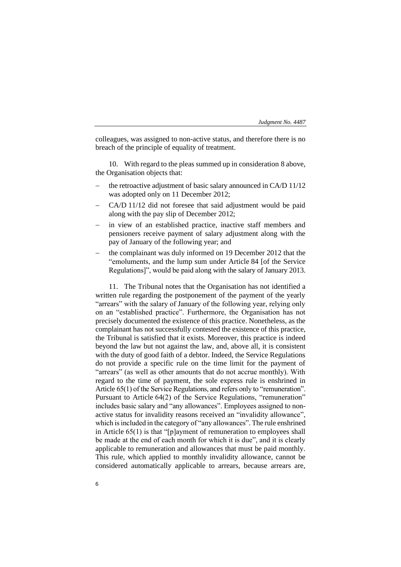colleagues, was assigned to non-active status, and therefore there is no breach of the principle of equality of treatment.

10. With regard to the pleas summed up in consideration 8 above, the Organisation objects that:

- the retroactive adjustment of basic salary announced in CA/D 11/12 was adopted only on 11 December 2012;
- − CA/D 11/12 did not foresee that said adjustment would be paid along with the pay slip of December 2012;
- in view of an established practice, inactive staff members and pensioners receive payment of salary adjustment along with the pay of January of the following year; and
- the complainant was duly informed on 19 December 2012 that the "emoluments, and the lump sum under Article 84 [of the Service Regulations]", would be paid along with the salary of January 2013.

11. The Tribunal notes that the Organisation has not identified a written rule regarding the postponement of the payment of the yearly "arrears" with the salary of January of the following year, relying only on an "established practice". Furthermore, the Organisation has not precisely documented the existence of this practice. Nonetheless, as the complainant has not successfully contested the existence of this practice, the Tribunal is satisfied that it exists. Moreover, this practice is indeed beyond the law but not against the law, and, above all, it is consistent with the duty of good faith of a debtor. Indeed, the Service Regulations do not provide a specific rule on the time limit for the payment of "arrears" (as well as other amounts that do not accrue monthly). With regard to the time of payment, the sole express rule is enshrined in Article 65(1) of the Service Regulations, and refers only to "remuneration". Pursuant to Article 64(2) of the Service Regulations, "remuneration" includes basic salary and "any allowances". Employees assigned to nonactive status for invalidity reasons received an "invalidity allowance", which is included in the category of "any allowances". The rule enshrined in Article 65(1) is that "[p]ayment of remuneration to employees shall be made at the end of each month for which it is due", and it is clearly applicable to remuneration and allowances that must be paid monthly. This rule, which applied to monthly invalidity allowance, cannot be considered automatically applicable to arrears, because arrears are,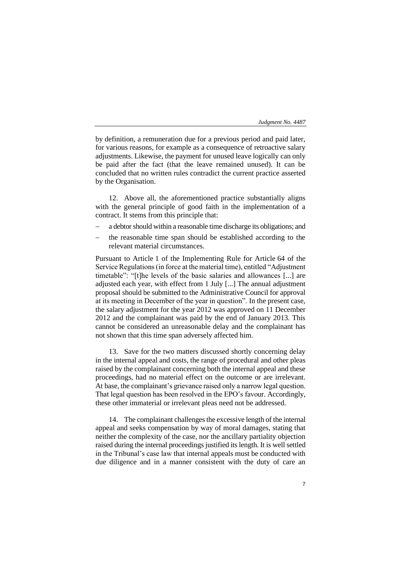by definition, a remuneration due for a previous period and paid later, for various reasons, for example as a consequence of retroactive salary adjustments. Likewise, the payment for unused leave logically can only be paid after the fact (that the leave remained unused). It can be concluded that no written rules contradict the current practice asserted by the Organisation.

12. Above all, the aforementioned practice substantially aligns with the general principle of good faith in the implementation of a contract. It stems from this principle that:

- a debtor should within a reasonable time discharge its obligations; and
- the reasonable time span should be established according to the relevant material circumstances.

Pursuant to Article 1 of the Implementing Rule for Article 64 of the Service Regulations (in force at the material time), entitled "Adjustment timetable": "[t]he levels of the basic salaries and allowances [...] are adjusted each year, with effect from 1 July [...] The annual adjustment proposal should be submitted to the Administrative Council for approval at its meeting in December of the year in question". In the present case, the salary adjustment for the year 2012 was approved on 11 December 2012 and the complainant was paid by the end of January 2013. This cannot be considered an unreasonable delay and the complainant has not shown that this time span adversely affected him.

13. Save for the two matters discussed shortly concerning delay in the internal appeal and costs, the range of procedural and other pleas raised by the complainant concerning both the internal appeal and these proceedings, had no material effect on the outcome or are irrelevant. At base, the complainant's grievance raised only a narrow legal question. That legal question has been resolved in the EPO's favour. Accordingly, these other immaterial or irrelevant pleas need not be addressed.

14. The complainant challenges the excessive length of the internal appeal and seeks compensation by way of moral damages, stating that neither the complexity of the case, nor the ancillary partiality objection raised during the internal proceedings justified its length. It is well settled in the Tribunal's case law that internal appeals must be conducted with due diligence and in a manner consistent with the duty of care an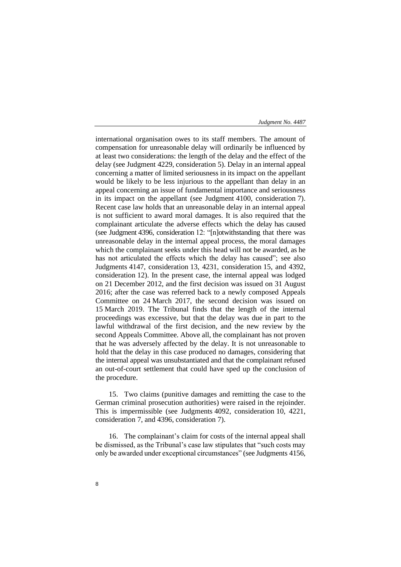international organisation owes to its staff members. The amount of compensation for unreasonable delay will ordinarily be influenced by at least two considerations: the length of the delay and the effect of the delay (see Judgment 4229, consideration 5). Delay in an internal appeal concerning a matter of limited seriousness in its impact on the appellant would be likely to be less injurious to the appellant than delay in an appeal concerning an issue of fundamental importance and seriousness in its impact on the appellant (see Judgment 4100, consideration 7). Recent case law holds that an unreasonable delay in an internal appeal is not sufficient to award moral damages. It is also required that the complainant articulate the adverse effects which the delay has caused (see Judgment 4396, consideration 12: "[n]otwithstanding that there was unreasonable delay in the internal appeal process, the moral damages which the complainant seeks under this head will not be awarded, as he has not articulated the effects which the delay has caused"; see also Judgments 4147, consideration 13, 4231, consideration 15, and 4392, consideration 12). In the present case, the internal appeal was lodged on 21 December 2012, and the first decision was issued on 31 August 2016; after the case was referred back to a newly composed Appeals Committee on 24 March 2017, the second decision was issued on 15 March 2019. The Tribunal finds that the length of the internal proceedings was excessive, but that the delay was due in part to the lawful withdrawal of the first decision, and the new review by the second Appeals Committee. Above all, the complainant has not proven that he was adversely affected by the delay. It is not unreasonable to hold that the delay in this case produced no damages, considering that the internal appeal was unsubstantiated and that the complainant refused an out-of-court settlement that could have sped up the conclusion of the procedure.

15. Two claims (punitive damages and remitting the case to the German criminal prosecution authorities) were raised in the rejoinder. This is impermissible (see Judgments 4092, consideration 10, 4221, consideration 7, and 4396, consideration 7).

16. The complainant's claim for costs of the internal appeal shall be dismissed, as the Tribunal's case law stipulates that "such costs may only be awarded under exceptional circumstances" (see Judgments 4156,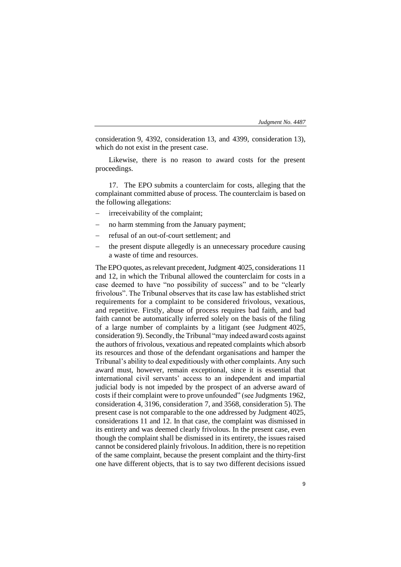consideration 9, 4392, consideration 13, and 4399, consideration 13), which do not exist in the present case.

Likewise, there is no reason to award costs for the present proceedings.

17. The EPO submits a counterclaim for costs, alleging that the complainant committed abuse of process. The counterclaim is based on the following allegations:

- irreceivability of the complaint;
- − no harm stemming from the January payment;
- − refusal of an out-of-court settlement; and
- the present dispute allegedly is an unnecessary procedure causing a waste of time and resources.

The EPO quotes, as relevant precedent, Judgment 4025, considerations 11 and 12, in which the Tribunal allowed the counterclaim for costs in a case deemed to have "no possibility of success" and to be "clearly frivolous". The Tribunal observes that its case law has established strict requirements for a complaint to be considered frivolous, vexatious, and repetitive. Firstly, abuse of process requires bad faith, and bad faith cannot be automatically inferred solely on the basis of the filing of a large number of complaints by a litigant (see Judgment 4025, consideration 9). Secondly, the Tribunal "may indeed award costs against the authors of frivolous, vexatious and repeated complaints which absorb its resources and those of the defendant organisations and hamper the Tribunal's ability to deal expeditiously with other complaints. Any such award must, however, remain exceptional, since it is essential that international civil servants' access to an independent and impartial judicial body is not impeded by the prospect of an adverse award of costs if their complaint were to prove unfounded" (see Judgments 1962, consideration 4, 3196, consideration 7, and 3568, consideration 5). The present case is not comparable to the one addressed by Judgment 4025, considerations 11 and 12. In that case, the complaint was dismissed in its entirety and was deemed clearly frivolous. In the present case, even though the complaint shall be dismissed in its entirety, the issues raised cannot be considered plainly frivolous. In addition, there is no repetition of the same complaint, because the present complaint and the thirty-first one have different objects, that is to say two different decisions issued